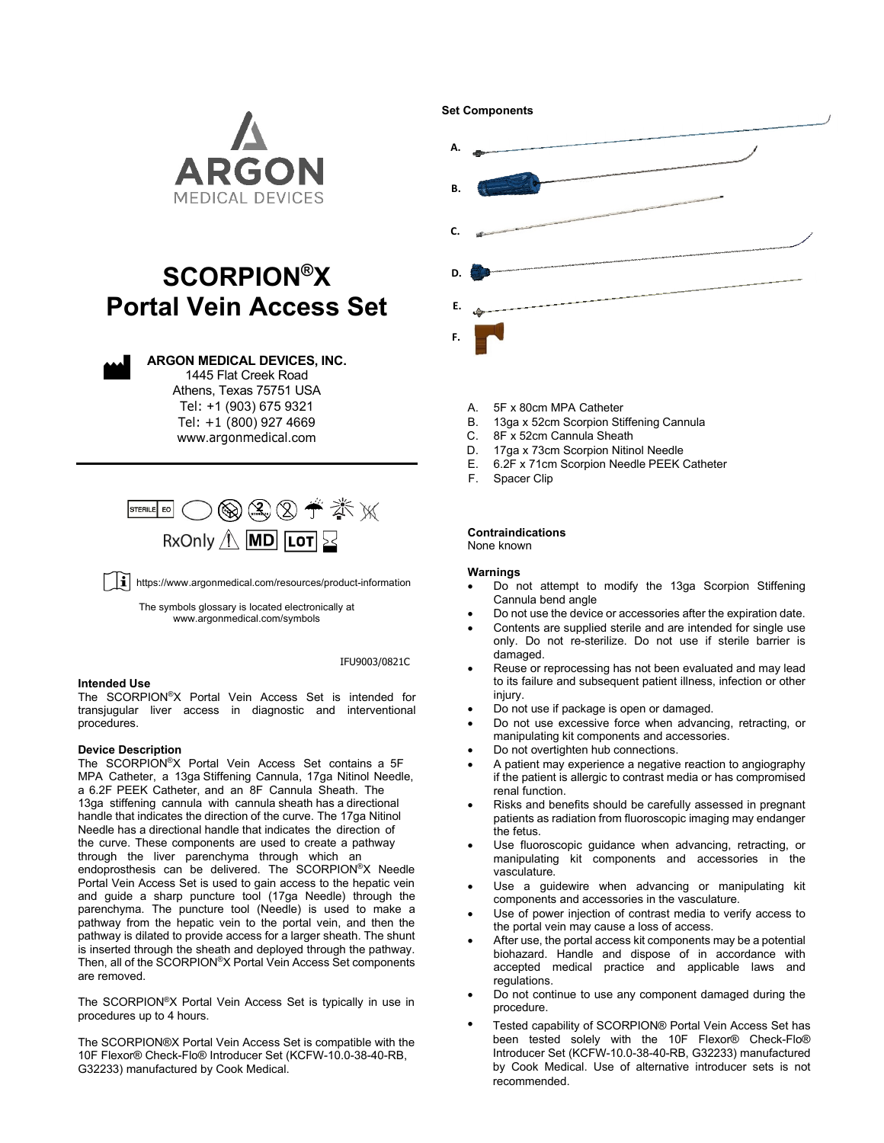

# **SCORPION®X Portal Vein Access Set**



**ARGON MEDICAL DEVICES, INC.**

1445 Flat Creek Road Athens, Texas 75751 USA

Tel: +1 (903) 675 9321 Tel: +1 (800) 927 4669 www.[argonmedical](http://www.argonmedical.com/).com



 $\left\lfloor \mathbf{i}\right\rfloor$  https://www.argonmedical.com/resources/product-information

The symbols glossary is located electronically at [www.argonmedical.com/symbols](http://www.argonmedical.com/symbols)

# IFU9003/0821C

# **Intended Use**

The SCORPION®X Portal Vein Access Set is intended for transjugular liver access in diagnostic and interventional procedures.

# **Device Description**

The SCORPION®X Portal Vein Access Set contains a 5F MPA Catheter, a 13ga Stiffening Cannula, 17ga Nitinol Needle, a 6.2F PEEK Catheter, and an 8F Cannula Sheath. The 13ga stiffening cannula with cannula sheath has a directional handle that indicates the direction of the curve. The 17ga Nitinol Needle has a directional handle that indicates the direction of the curve. These components are used to create a pathway through the liver parenchyma through which an endoprosthesis can be delivered. The SCORPION®X Needle Portal Vein Access Set is used to gain access to the hepatic vein and guide a sharp puncture tool (17ga Needle) through the parenchyma. The puncture tool (Needle) is used to make a pathway from the hepatic vein to the portal vein, and then the pathway is dilated to provide access for a larger sheath. The shunt is inserted through the sheath and deployed through the pathway. Then, all of the SCORPION®X Portal Vein Access Set components are removed.

The SCORPION®X Portal Vein Access Set is typically in use in procedures up to 4 hours.

The SCORPION®X Portal Vein Access Set is compatible with the 10F Flexor® Check-Flo® Introducer Set (KCFW-10.0-38-40-RB, G32233) manufactured by Cook Medical.



- A. 5F x 80cm MPA Catheter
- B. 13ga x 52cm Scorpion Stiffening Cannula
- C. 8F x 52cm Cannula Sheath<br>D. 17ga x 73cm Scorpion Niting
- 17ga x 73cm Scorpion Nitinol Needle
- E. 6.2F x 71cm Scorpion Needle PEEK Catheter
- F. Spacer Clip

#### **Contraindications** None known

# **Warnings**

- Do not attempt to modify the 13ga Scorpion Stiffening Cannula bend angle
- Do not use the device or accessories after the expiration date.
- Contents are supplied sterile and are intended for single use only. Do not re-sterilize. Do not use if sterile barrier is damaged.
- Reuse or reprocessing has not been evaluated and may lead to its failure and subsequent patient illness, infection or other injury.
- Do not use if package is open or damaged.
- Do not use excessive force when advancing, retracting, or manipulating kit components and accessories.
- Do not overtighten hub connections.
- A patient may experience a negative reaction to angiography if the patient is allergic to contrast media or has compromised renal function.
- Risks and benefits should be carefully assessed in pregnant patients as radiation from fluoroscopic imaging may endanger the fetus.
- Use fluoroscopic guidance when advancing, retracting, or manipulating kit components and accessories in the vasculature.
- Use a guidewire when advancing or manipulating kit components and accessories in the vasculature.
- Use of power injection of contrast media to verify access to the portal vein may cause a loss of access.
- After use, the portal access kit components may be a potential biohazard. Handle and dispose of in accordance with accepted medical practice and applicable laws and regulations.
- Do not continue to use any component damaged during the procedure.
- Tested capability of SCORPION® Portal Vein Access Set has been tested solely with the 10F Flexor® Check-Flo® Introducer Set (KCFW-10.0-38-40-RB, G32233) manufactured by Cook Medical. Use of alternative introducer sets is not recommended. •